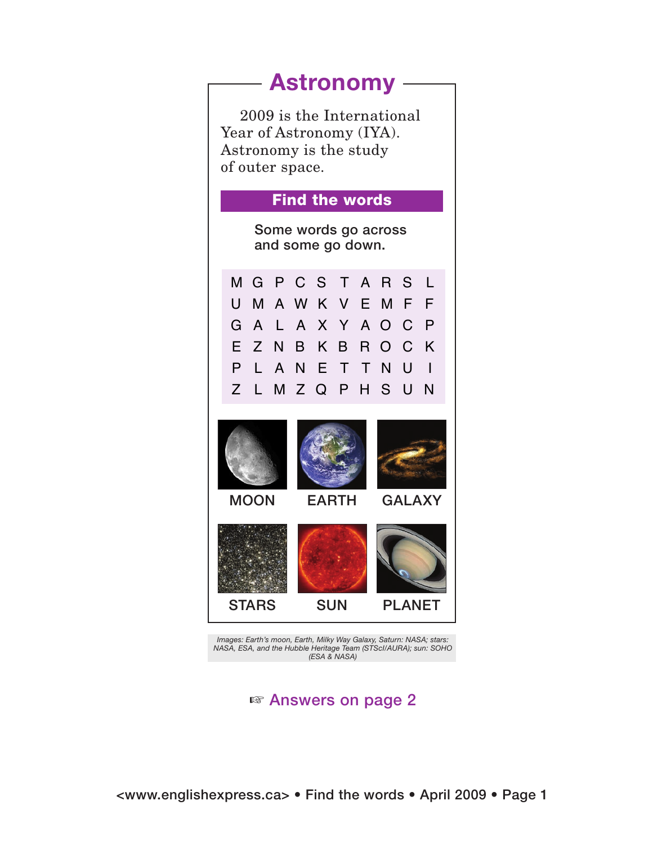## **Astronomy**

2009 is the International Year of Astronomy (IYA). Astronomy is the study of outer space.

## Find the words

Some words go across and some go down.

MGPCS T ARS L UMAWK V EMF F GA L A X Y AOC P E ZNB KB ROC K P LANE T TNU I Z LMZQPHSUN



*Images: Earth's moon, Earth, Milky Way Galaxy, Saturn: NASA; stars: NASA, ESA, and the Hubble Heritage Team (STScI/AURA); sun: SOHO (ESA & NASA)*

 $\mathbb{F}$  Answers on page 2